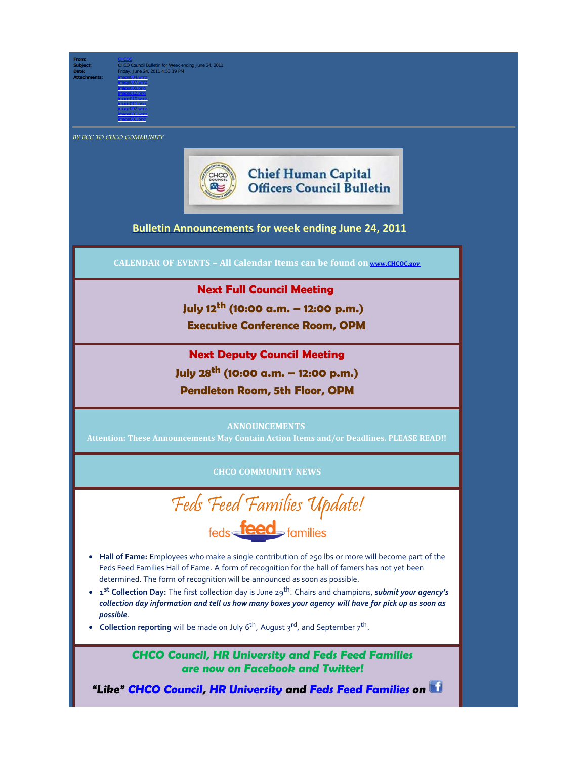**From:** [CHCOC](mailto:/O=OPM/OU=EXCHANGE ADMINISTRATIVE GROUP (FYDIBOHF23SPDLT)/CN=RECIPIENTS/CN=CHCOC)

**Subject:** CHCO Council Bulletin for Week ending June 24, 2011 **Date:** Friday, June 24, 2011 4:53:19 PM **Attachments:** image004.wmz

image001.wmz image001.png

image008.png image012.png image010.wmz image011.png image002.wmz

BY BCC TO CHCO COMMUNITY



**Chief Human Capital Officers Council Bulletin** 

## **[Bulletin Announcements](http://chcoc.gov/Transmittals/Index.aspx) for week ending June 24, 2011**

**CALENDAR OF EVENTS – All Calendar Items can be found on [www.CHCOC.gov](http://www.chcoc.gov/)**

## **Next Full Council Meeting**

 **July 12th (10:00 a.m. – 12:00 p.m.)**

 **Executive Conference Room, OPM**

# **Next Deputy Council Meeting**

**July 28th (10:00 a.m. – 12:00 p.m.)**

**Pendleton Room, 5th Floor, OPM**

#### **ANNOUNCEMENTS**

**Attention: These Announcements May Contain Action Items and/or Deadlines. PLEASE READ!!**

## **CHCO COMMUNITY NEWS**

Feds Feed Families Update! feds **feed** families

- · **Hall of Fame:** Employees who make a single contribution of 250 lbs or more will become part of the Feds Feed Families Hall of Fame. A form of recognition for the hall of famers has not yet been determined. The form of recognition will be announced as soon as possible.
- · **1st Collection Day:** The first collection day is June 29th. Chairs and champions, *submit your agency's collection day information and tell us how many boxes your agency will have for pick up as soon as possible*.
- **Collection reporting** will be made on July 6<sup>th</sup>, August 3<sup>rd</sup>, and September 7<sup>th</sup>.

**CHCO Council, HR University and Feds Feed Families are now on Facebook and Twitter!**

**"Like" [CHCO Council](http://www.facebook.com/home.php#!/pages/CHCO-Council/168795866510850), [HR University](http://www.facebook.com/home.php#!/pages/HR-University/223115527703335) and [Feds Feed Families](http://www.facebook.com/fedsfeedfamilies) on**